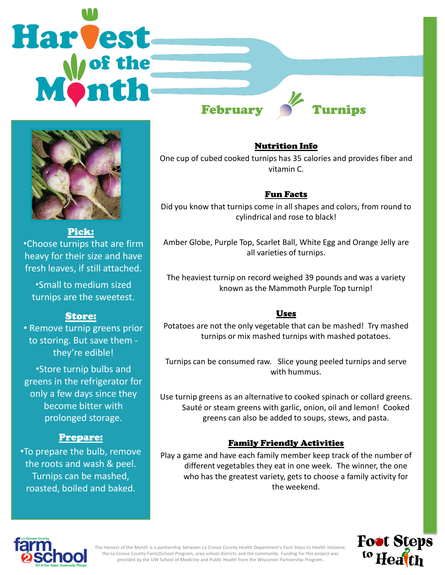# **Harvest** February Yurnips



Pick: •Choose turnips that are firm heavy for their size and have fresh leaves, if still attached.

•Small to medium sized turnips are the sweetest.

## Store:

• Remove turnip greens prior to storing. But save them they're edible!

•Store turnip bulbs and greens in the refrigerator for only a few days since they become bitter with prolonged storage.

# Prepare:

•To prepare the bulb, remove the roots and wash & peel. Turnips can be mashed, roasted, boiled and baked.

#### Nutrition Info

One cup of cubed cooked turnips has 35 calories and provides fiber and vitamin C.

## Fun Facts

Did you know that turnips come in all shapes and colors, from round to cylindrical and rose to black!

Amber Globe, Purple Top, Scarlet Ball, White Egg and Orange Jelly are all varieties of turnips.

The heaviest turnip on record weighed 39 pounds and was a variety known as the Mammoth Purple Top turnip!

## Uses

Potatoes are not the only vegetable that can be mashed! Try mashed turnips or mix mashed turnips with mashed potatoes.

Turnips can be consumed raw. Slice young peeled turnips and serve with hummus.

Use turnip greens as an alternative to cooked spinach or collard greens. Sauté or steam greens with garlic, onion, oil and lemon! Cooked greens can also be added to soups, stews, and pasta.

# Family Friendly Activities

Play a game and have each family member keep track of the number of different vegetables they eat in one week. The winner, the one who has the greatest variety, gets to choose a family activity for the weekend.





The Harvest of the Month is a partnership between La Crosse County Health Department's Foot Steps to Health initiative, the La Crosse County Farm2School Program, area school districts and the community. Funding for this project was provided by the UW School of Medicine and Public Health from the Wisconsin Partnership Program. .